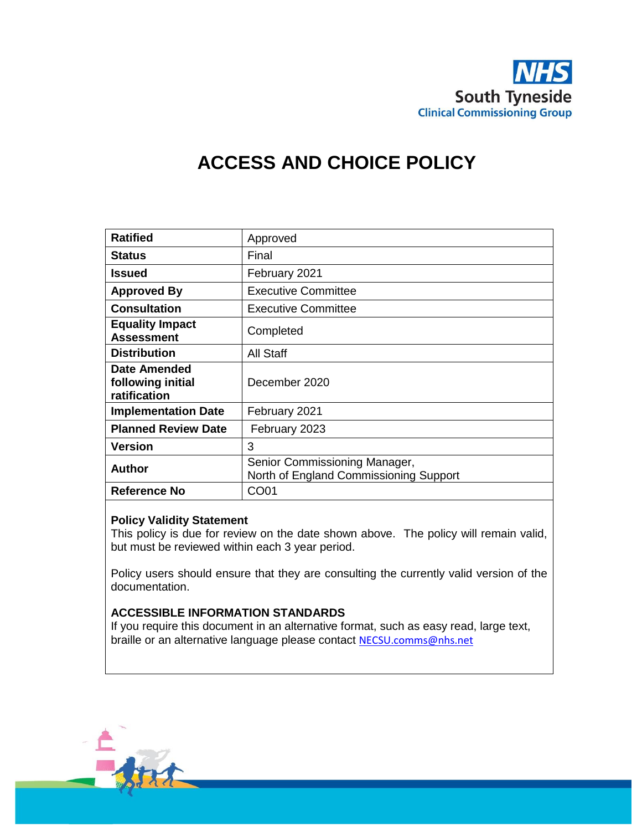

# **ACCESS AND CHOICE POLICY**

| <b>Ratified</b>                                   | Approved                                                                |
|---------------------------------------------------|-------------------------------------------------------------------------|
| <b>Status</b>                                     | Final                                                                   |
| Issued                                            | February 2021                                                           |
| <b>Approved By</b>                                | <b>Executive Committee</b>                                              |
| <b>Consultation</b>                               | <b>Executive Committee</b>                                              |
| <b>Equality Impact</b><br><b>Assessment</b>       | Completed                                                               |
| <b>Distribution</b>                               | All Staff                                                               |
| Date Amended<br>following initial<br>ratification | December 2020                                                           |
| <b>Implementation Date</b>                        | February 2021                                                           |
| <b>Planned Review Date</b>                        | February 2023                                                           |
| Version                                           | 3                                                                       |
| Author                                            | Senior Commissioning Manager,<br>North of England Commissioning Support |
| <b>Reference No</b>                               | CO01                                                                    |

#### **Policy Validity Statement**

This policy is due for review on the date shown above. The policy will remain valid, but must be reviewed within each 3 year period.

Policy users should ensure that they are consulting the currently valid version of the documentation.

#### **ACCESSIBLE INFORMATION STANDARDS**

If you require this document in an alternative format, such as easy read, large text, braille or an alternative language please contact [NECSU.comms@nhs.net](mailto:NECSU.comms@nhs.net)

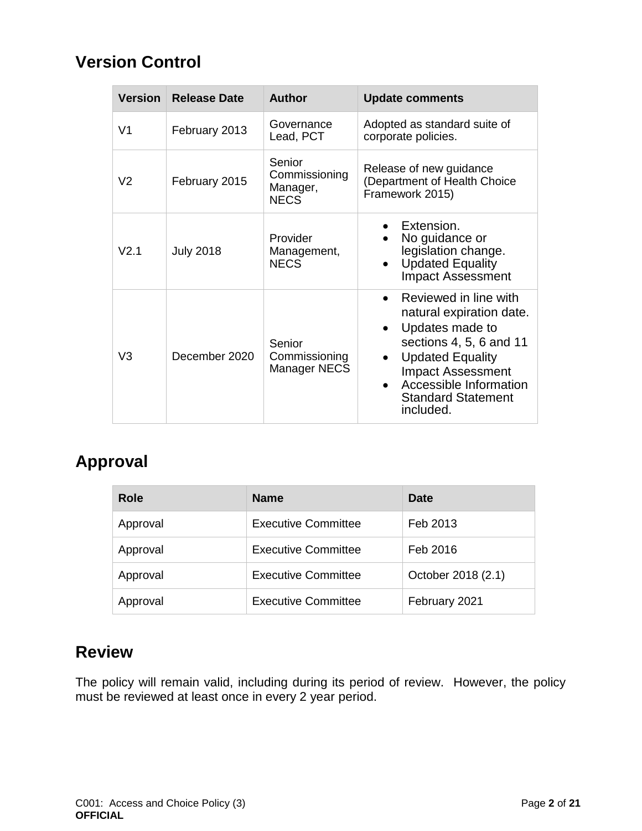# **Version Control**

| <b>Version</b>   | <b>Release Date</b> | <b>Author</b>                                      | <b>Update comments</b>                                                                                                                                                                                                                      |
|------------------|---------------------|----------------------------------------------------|---------------------------------------------------------------------------------------------------------------------------------------------------------------------------------------------------------------------------------------------|
| V <sub>1</sub>   | February 2013       | Governance<br>Lead, PCT                            | Adopted as standard suite of<br>corporate policies.                                                                                                                                                                                         |
| V2               | February 2015       | Senior<br>Commissioning<br>Manager,<br><b>NECS</b> | Release of new guidance<br>(Department of Health Choice<br>Framework 2015)                                                                                                                                                                  |
| V <sub>2.1</sub> | <b>July 2018</b>    | Provider<br>Management,<br><b>NECS</b>             | Extension.<br>No guidance or<br>legislation change.<br><b>Updated Equality</b><br><b>Impact Assessment</b>                                                                                                                                  |
| V3               | December 2020       | Senior<br>Commissioning<br><b>Manager NECS</b>     | Reviewed in line with<br>natural expiration date.<br>Updates made to<br>$\bullet$<br>sections $4, 5, 6$ and $11$<br><b>Updated Equality</b><br><b>Impact Assessment</b><br>Accessible Information<br><b>Standard Statement</b><br>included. |

# **Approval**

| <b>Role</b> | <b>Name</b>                | <b>Date</b>        |
|-------------|----------------------------|--------------------|
| Approval    | <b>Executive Committee</b> | Feb 2013           |
| Approval    | <b>Executive Committee</b> | Feb 2016           |
| Approval    | <b>Executive Committee</b> | October 2018 (2.1) |
| Approval    | <b>Executive Committee</b> | February 2021      |

# **Review**

The policy will remain valid, including during its period of review. However, the policy must be reviewed at least once in every 2 year period.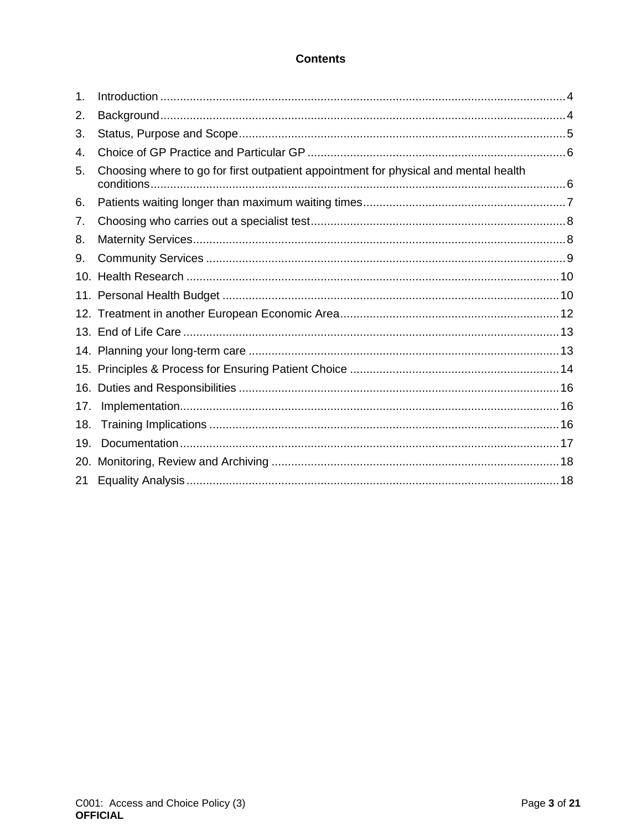#### **Contents**

| 1.              |                                                                                      |  |
|-----------------|--------------------------------------------------------------------------------------|--|
| 2.              |                                                                                      |  |
| 3.              |                                                                                      |  |
| 4.              |                                                                                      |  |
| 5.              | Choosing where to go for first outpatient appointment for physical and mental health |  |
| 6.              |                                                                                      |  |
| 7.              |                                                                                      |  |
| 8.              |                                                                                      |  |
| 9.              |                                                                                      |  |
| 10 <sub>1</sub> |                                                                                      |  |
|                 |                                                                                      |  |
|                 |                                                                                      |  |
|                 |                                                                                      |  |
|                 |                                                                                      |  |
|                 |                                                                                      |  |
|                 |                                                                                      |  |
| 17.             |                                                                                      |  |
| 18.             |                                                                                      |  |
| 19.             |                                                                                      |  |
| 20.             |                                                                                      |  |
| 21              |                                                                                      |  |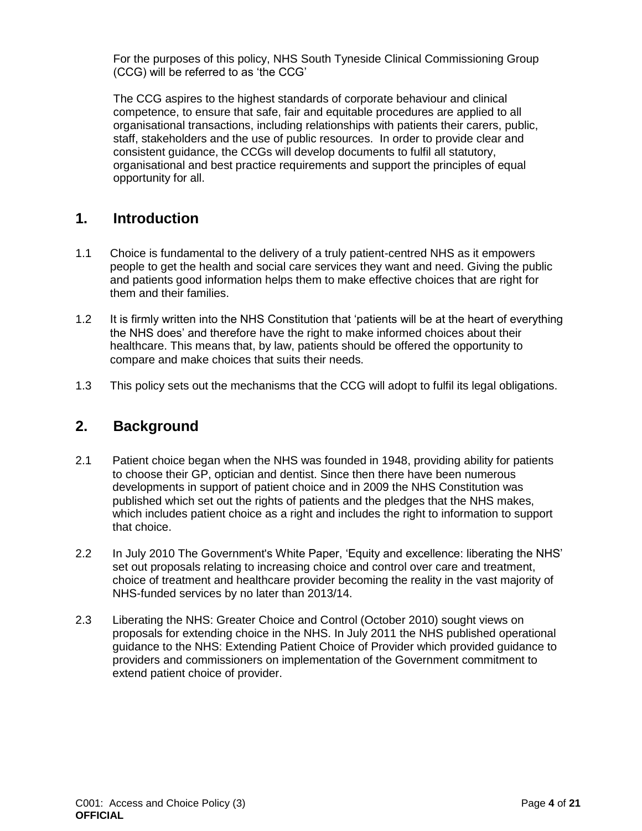For the purposes of this policy, NHS South Tyneside Clinical Commissioning Group (CCG) will be referred to as 'the CCG'

The CCG aspires to the highest standards of corporate behaviour and clinical competence, to ensure that safe, fair and equitable procedures are applied to all organisational transactions, including relationships with patients their carers, public, staff, stakeholders and the use of public resources. In order to provide clear and consistent guidance, the CCGs will develop documents to fulfil all statutory, organisational and best practice requirements and support the principles of equal opportunity for all.

## <span id="page-3-0"></span>**1. Introduction**

- 1.1 Choice is fundamental to the delivery of a truly patient-centred NHS as it empowers people to get the health and social care services they want and need. Giving the public and patients good information helps them to make effective choices that are right for them and their families.
- 1.2 It is firmly written into the NHS Constitution that 'patients will be at the heart of everything the NHS does' and therefore have the right to make informed choices about their healthcare. This means that, by law, patients should be offered the opportunity to compare and make choices that suits their needs.
- <span id="page-3-1"></span>1.3 This policy sets out the mechanisms that the CCG will adopt to fulfil its legal obligations.

### **2. Background**

- 2.1 Patient choice began when the NHS was founded in 1948, providing ability for patients to choose their GP, optician and dentist. Since then there have been numerous developments in support of patient choice and in 2009 the NHS Constitution was published which set out the rights of patients and the pledges that the NHS makes, which includes patient choice as a right and includes the right to information to support that choice.
- 2.2 In July 2010 The Government's White Paper, 'Equity and excellence: liberating the NHS' set out proposals relating to increasing choice and control over care and treatment, choice of treatment and healthcare provider becoming the reality in the vast majority of NHS-funded services by no later than 2013/14.
- 2.3 Liberating the NHS: Greater Choice and Control (October 2010) sought views on proposals for extending choice in the NHS. In July 2011 the NHS published operational guidance to the NHS: Extending Patient Choice of Provider which provided guidance to providers and commissioners on implementation of the Government commitment to extend patient choice of provider.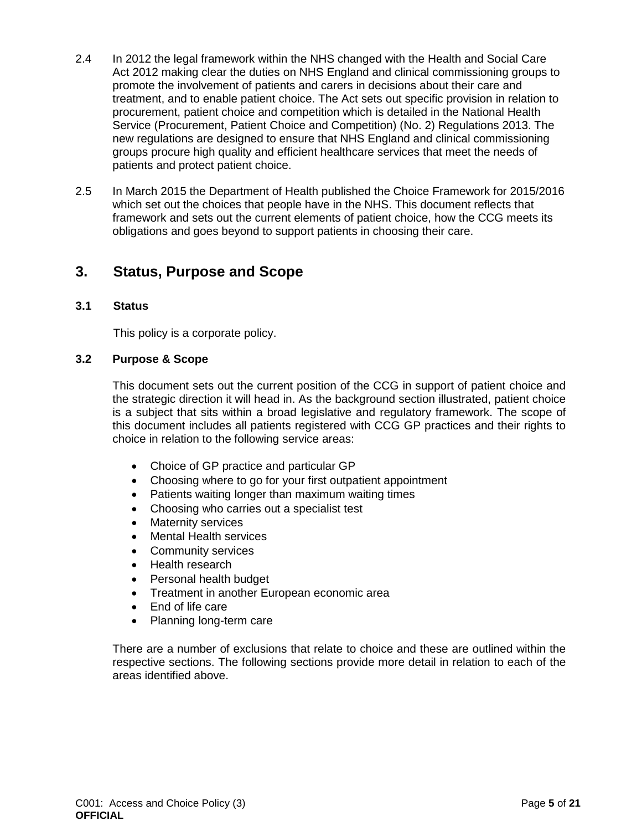- 2.4 In 2012 the legal framework within the NHS changed with the Health and Social Care Act 2012 making clear the duties on NHS England and clinical commissioning groups to promote the involvement of patients and carers in decisions about their care and treatment, and to enable patient choice. The Act sets out specific provision in relation to procurement, patient choice and competition which is detailed in the National Health Service (Procurement, Patient Choice and Competition) (No. 2) Regulations 2013. The new regulations are designed to ensure that NHS England and clinical commissioning groups procure high quality and efficient healthcare services that meet the needs of patients and protect patient choice.
- 2.5 In March 2015 the Department of Health published the Choice Framework for 2015/2016 which set out the choices that people have in the NHS. This document reflects that framework and sets out the current elements of patient choice, how the CCG meets its obligations and goes beyond to support patients in choosing their care.

## <span id="page-4-0"></span>**3. Status, Purpose and Scope**

#### **3.1 Status**

This policy is a corporate policy.

#### **3.2 Purpose & Scope**

This document sets out the current position of the CCG in support of patient choice and the strategic direction it will head in. As the background section illustrated, patient choice is a subject that sits within a broad legislative and regulatory framework. The scope of this document includes all patients registered with CCG GP practices and their rights to choice in relation to the following service areas:

- Choice of GP practice and particular GP
- Choosing where to go for your first outpatient appointment
- Patients waiting longer than maximum waiting times
- Choosing who carries out a specialist test
- Maternity services
- Mental Health services
- Community services
- Health research
- Personal health budget
- Treatment in another European economic area
- End of life care
- Planning long-term care

<span id="page-4-1"></span>There are a number of exclusions that relate to choice and these are outlined within the respective sections. The following sections provide more detail in relation to each of the areas identified above.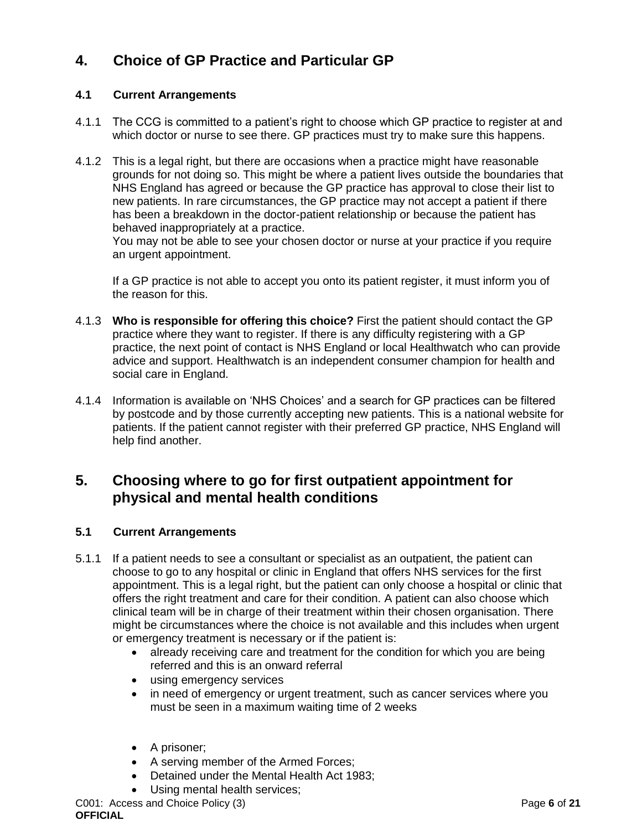# **4. Choice of GP Practice and Particular GP**

#### **4.1 Current Arrangements**

- 4.1.1 The CCG is committed to a patient's right to choose which GP practice to register at and which doctor or nurse to see there. GP practices must try to make sure this happens.
- 4.1.2 This is a legal right, but there are occasions when a practice might have reasonable grounds for not doing so. This might be where a patient lives outside the boundaries that NHS England has agreed or because the GP practice has approval to close their list to new patients. In rare circumstances, the GP practice may not accept a patient if there has been a breakdown in the doctor-patient relationship or because the patient has behaved inappropriately at a practice.

You may not be able to see your chosen doctor or nurse at your practice if you require an urgent appointment.

If a GP practice is not able to accept you onto its patient register, it must inform you of the reason for this.

- 4.1.3 **Who is responsible for offering this choice?** First the patient should contact the GP practice where they want to register. If there is any difficulty registering with a GP practice, the next point of contact is NHS England or local Healthwatch who can provide advice and support. Healthwatch is an independent consumer champion for health and social care in England.
- 4.1.4 Information is available on 'NHS Choices' and a search for GP practices can be filtered by postcode and by those currently accepting new patients. This is a national website for patients. If the patient cannot register with their preferred GP practice, NHS England will help find another.

# <span id="page-5-0"></span>**5. Choosing where to go for first outpatient appointment for physical and mental health conditions**

#### **5.1 Current Arrangements**

- 5.1.1 If a patient needs to see a consultant or specialist as an outpatient, the patient can choose to go to any hospital or clinic in England that offers NHS services for the first appointment. This is a legal right, but the patient can only choose a hospital or clinic that offers the right treatment and care for their condition. A patient can also choose which clinical team will be in charge of their treatment within their chosen organisation. There might be circumstances where the choice is not available and this includes when urgent or emergency treatment is necessary or if the patient is:
	- already receiving care and treatment for the condition for which you are being referred and this is an onward referral
	- using emergency services
	- in need of emergency or urgent treatment, such as cancer services where you must be seen in a maximum waiting time of 2 weeks
	- A prisoner;
	- A serving member of the Armed Forces;
	- Detained under the Mental Health Act 1983;
	- Using mental health services;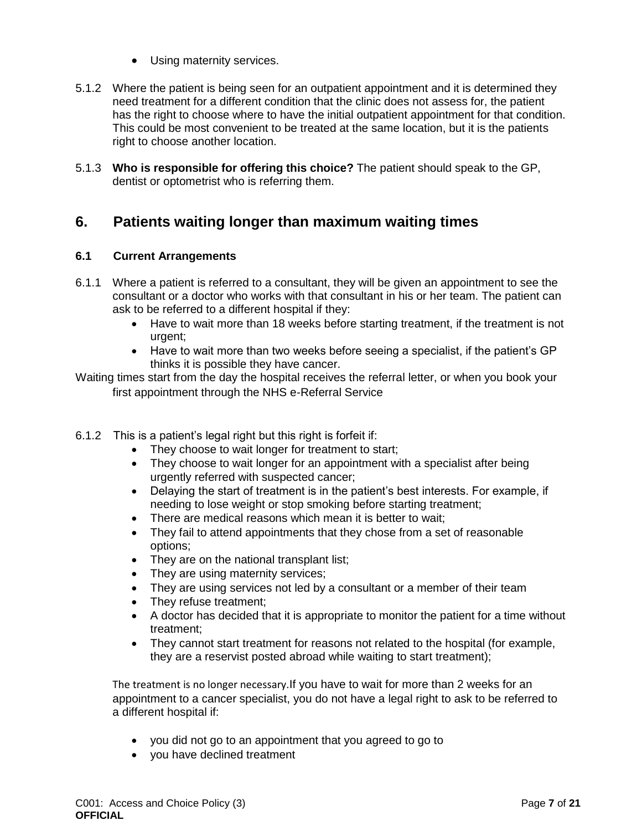- Using maternity services.
- 5.1.2 Where the patient is being seen for an outpatient appointment and it is determined they need treatment for a different condition that the clinic does not assess for, the patient has the right to choose where to have the initial outpatient appointment for that condition. This could be most convenient to be treated at the same location, but it is the patients right to choose another location.
- 5.1.3 **Who is responsible for offering this choice?** The patient should speak to the GP, dentist or optometrist who is referring them.

# <span id="page-6-0"></span>**6. Patients waiting longer than maximum waiting times**

#### **6.1 Current Arrangements**

- 6.1.1 Where a patient is referred to a consultant, they will be given an appointment to see the consultant or a doctor who works with that consultant in his or her team. The patient can ask to be referred to a different hospital if they:
	- Have to wait more than 18 weeks before starting treatment, if the treatment is not urgent;
	- Have to wait more than two weeks before seeing a specialist, if the patient's GP thinks it is possible they have cancer.

Waiting times start from the day the hospital receives the referral letter, or when you book your first appointment through the NHS e-Referral Service

- 6.1.2 This is a patient's legal right but this right is forfeit if:
	- They choose to wait longer for treatment to start;
	- They choose to wait longer for an appointment with a specialist after being urgently referred with suspected cancer;
	- Delaying the start of treatment is in the patient's best interests. For example, if needing to lose weight or stop smoking before starting treatment;
	- There are medical reasons which mean it is better to wait;
	- They fail to attend appointments that they chose from a set of reasonable options;
	- They are on the national transplant list;
	- They are using maternity services;
	- They are using services not led by a consultant or a member of their team
	- They refuse treatment;
	- A doctor has decided that it is appropriate to monitor the patient for a time without treatment;
	- They cannot start treatment for reasons not related to the hospital (for example, they are a reservist posted abroad while waiting to start treatment);

The treatment is no longer necessary.If you have to wait for more than 2 weeks for an appointment to a cancer specialist, you do not have a legal right to ask to be referred to a different hospital if:

- you did not go to an appointment that you agreed to go to
- you have declined treatment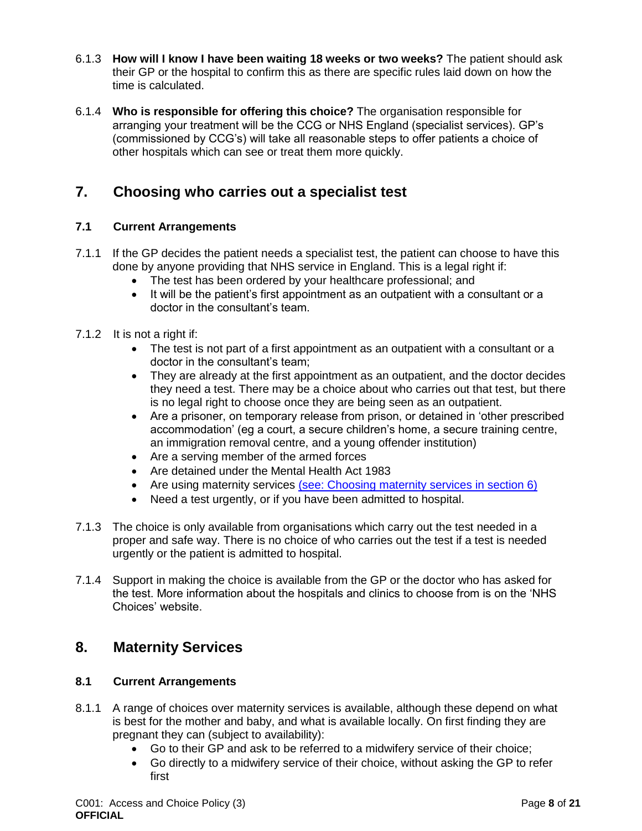- 6.1.3 **How will I know I have been waiting 18 weeks or two weeks?** The patient should ask their GP or the hospital to confirm this as there are specific rules laid down on how the time is calculated.
- 6.1.4 **Who is responsible for offering this choice?** The organisation responsible for arranging your treatment will be the CCG or NHS England (specialist services). GP's (commissioned by CCG's) will take all reasonable steps to offer patients a choice of other hospitals which can see or treat them more quickly.

# <span id="page-7-0"></span>**7. Choosing who carries out a specialist test**

#### **7.1 Current Arrangements**

- 7.1.1 If the GP decides the patient needs a specialist test, the patient can choose to have this done by anyone providing that NHS service in England. This is a legal right if:
	- The test has been ordered by your healthcare professional; and
	- It will be the patient's first appointment as an outpatient with a consultant or a doctor in the consultant's team.
- 7.1.2 It is not a right if:
	- The test is not part of a first appointment as an outpatient with a consultant or a doctor in the consultant's team;
	- They are already at the first appointment as an outpatient, and the doctor decides they need a test. There may be a choice about who carries out that test, but there is no legal right to choose once they are being seen as an outpatient.
	- Are a prisoner, on temporary release from prison, or detained in 'other prescribed accommodation' (eg a court, a secure children's home, a secure training centre, an immigration removal centre, and a young offender institution)
	- Are a serving member of the armed forces
	- Are detained under the Mental Health Act 1983
	- Are using maternity services [\(see: Choosing maternity services in section 6\)](https://www.gov.uk/government/publications/the-nhs-choice-framework/the-nhs-choice-framework-what-choices-are-available-to-me-in-the-nhs#section-6)
	- Need a test urgently, or if you have been admitted to hospital.
- 7.1.3 The choice is only available from organisations which carry out the test needed in a proper and safe way. There is no choice of who carries out the test if a test is needed urgently or the patient is admitted to hospital.
- 7.1.4 Support in making the choice is available from the GP or the doctor who has asked for the test. More information about the hospitals and clinics to choose from is on the 'NHS Choices' website.

### <span id="page-7-1"></span>**8. Maternity Services**

#### **8.1 Current Arrangements**

- 8.1.1 A range of choices over maternity services is available, although these depend on what is best for the mother and baby, and what is available locally. On first finding they are pregnant they can (subject to availability):
	- Go to their GP and ask to be referred to a midwifery service of their choice;
	- Go directly to a midwifery service of their choice, without asking the GP to refer first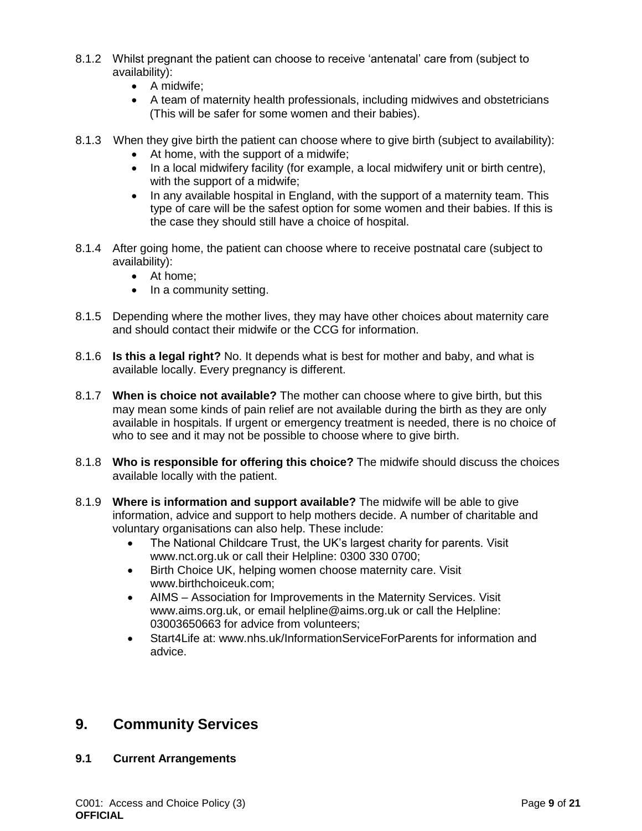- 8.1.2 Whilst pregnant the patient can choose to receive 'antenatal' care from (subject to availability):
	- A midwife;
	- A team of maternity health professionals, including midwives and obstetricians (This will be safer for some women and their babies).
- 8.1.3 When they give birth the patient can choose where to give birth (subject to availability):
	- At home, with the support of a midwife;
	- In a local midwifery facility (for example, a local midwifery unit or birth centre), with the support of a midwife;
	- In any available hospital in England, with the support of a maternity team. This type of care will be the safest option for some women and their babies. If this is the case they should still have a choice of hospital.
- 8.1.4 After going home, the patient can choose where to receive postnatal care (subject to availability):
	- At home;
	- In a community setting.
- 8.1.5 Depending where the mother lives, they may have other choices about maternity care and should contact their midwife or the CCG for information.
- 8.1.6 **Is this a legal right?** No. It depends what is best for mother and baby, and what is available locally. Every pregnancy is different.
- 8.1.7 **When is choice not available?** The mother can choose where to give birth, but this may mean some kinds of pain relief are not available during the birth as they are only available in hospitals. If urgent or emergency treatment is needed, there is no choice of who to see and it may not be possible to choose where to give birth.
- 8.1.8 **Who is responsible for offering this choice?** The midwife should discuss the choices available locally with the patient.
- 8.1.9 **Where is information and support available?** The midwife will be able to give information, advice and support to help mothers decide. A number of charitable and voluntary organisations can also help. These include:
	- The National Childcare Trust, the UK's largest charity for parents. Visit www.nct.org.uk or call their Helpline: 0300 330 0700;
	- Birth Choice UK, helping women choose maternity care. Visit www.birthchoiceuk.com;
	- AIMS Association for Improvements in the Maternity Services. Visit www.aims.org.uk, or email helpline@aims.org.uk or call the Helpline: 03003650663 for advice from volunteers;
	- Start4Life at: www.nhs.uk/InformationServiceForParents for information and advice.

### <span id="page-8-0"></span>**9. Community Services**

#### **9.1 Current Arrangements**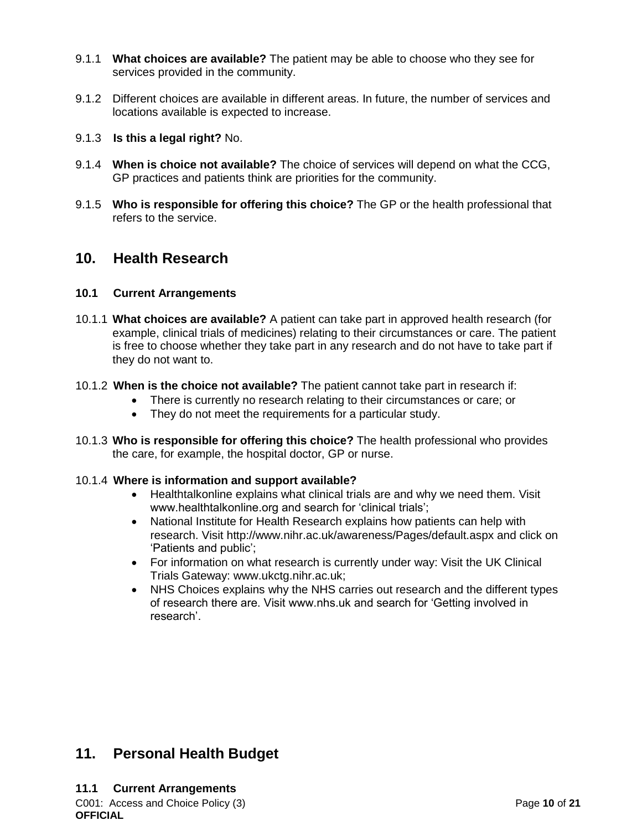- 9.1.1 **What choices are available?** The patient may be able to choose who they see for services provided in the community.
- 9.1.2 Different choices are available in different areas. In future, the number of services and locations available is expected to increase.
- 9.1.3 **Is this a legal right?** No.
- 9.1.4 **When is choice not available?** The choice of services will depend on what the CCG, GP practices and patients think are priorities for the community.
- 9.1.5 **Who is responsible for offering this choice?** The GP or the health professional that refers to the service.

### <span id="page-9-0"></span>**10. Health Research**

#### **10.1 Current Arrangements**

- 10.1.1 **What choices are available?** A patient can take part in approved health research (for example, clinical trials of medicines) relating to their circumstances or care. The patient is free to choose whether they take part in any research and do not have to take part if they do not want to.
- 10.1.2 **When is the choice not available?** The patient cannot take part in research if:
	- There is currently no research relating to their circumstances or care; or
	- They do not meet the requirements for a particular study.
- 10.1.3 **Who is responsible for offering this choice?** The health professional who provides the care, for example, the hospital doctor, GP or nurse.

#### 10.1.4 **Where is information and support available?**

- Healthtalkonline explains what clinical trials are and why we need them. Visit www.healthtalkonline.org and search for 'clinical trials';
- National Institute for Health Research explains how patients can help with research. Visit http://www.nihr.ac.uk/awareness/Pages/default.aspx and click on 'Patients and public';
- For information on what research is currently under way: Visit the UK Clinical Trials Gateway: www.ukctg.nihr.ac.uk;
- NHS Choices explains why the NHS carries out research and the different types of research there are. Visit www.nhs.uk and search for 'Getting involved in research'.

# <span id="page-9-1"></span>**11. Personal Health Budget**

C001: Access and Choice Policy (3) Page **10** of **21 OFFICIAL 11.1 Current Arrangements**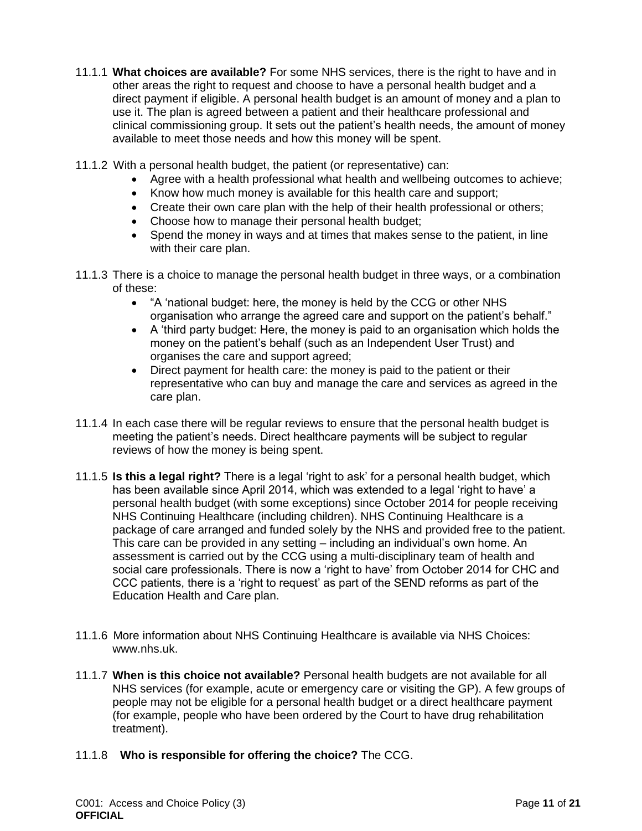- 11.1.1 **What choices are available?** For some NHS services, there is the right to have and in other areas the right to request and choose to have a personal health budget and a direct payment if eligible. A personal health budget is an amount of money and a plan to use it. The plan is agreed between a patient and their healthcare professional and clinical commissioning group. It sets out the patient's health needs, the amount of money available to meet those needs and how this money will be spent.
- 11.1.2 With a personal health budget, the patient (or representative) can:
	- Agree with a health professional what health and wellbeing outcomes to achieve;
	- Know how much money is available for this health care and support;
	- Create their own care plan with the help of their health professional or others;
	- Choose how to manage their personal health budget;
	- Spend the money in ways and at times that makes sense to the patient, in line with their care plan.
- 11.1.3 There is a choice to manage the personal health budget in three ways, or a combination of these:
	- "A 'national budget: here, the money is held by the CCG or other NHS organisation who arrange the agreed care and support on the patient's behalf."
	- A 'third party budget: Here, the money is paid to an organisation which holds the money on the patient's behalf (such as an Independent User Trust) and organises the care and support agreed;
	- Direct payment for health care: the money is paid to the patient or their representative who can buy and manage the care and services as agreed in the care plan.
- 11.1.4 In each case there will be regular reviews to ensure that the personal health budget is meeting the patient's needs. Direct healthcare payments will be subject to regular reviews of how the money is being spent.
- 11.1.5 **Is this a legal right?** There is a legal 'right to ask' for a personal health budget, which has been available since April 2014, which was extended to a legal 'right to have' a personal health budget (with some exceptions) since October 2014 for people receiving NHS Continuing Healthcare (including children). NHS Continuing Healthcare is a package of care arranged and funded solely by the NHS and provided free to the patient. This care can be provided in any setting – including an individual's own home. An assessment is carried out by the CCG using a multi-disciplinary team of health and social care professionals. There is now a 'right to have' from October 2014 for CHC and CCC patients, there is a 'right to request' as part of the SEND reforms as part of the Education Health and Care plan.
- 11.1.6 More information about NHS Continuing Healthcare is available via NHS Choices: www.nhs.uk.
- 11.1.7 **When is this choice not available?** Personal health budgets are not available for all NHS services (for example, acute or emergency care or visiting the GP). A few groups of people may not be eligible for a personal health budget or a direct healthcare payment (for example, people who have been ordered by the Court to have drug rehabilitation treatment).
- 11.1.8 **Who is responsible for offering the choice?** The CCG.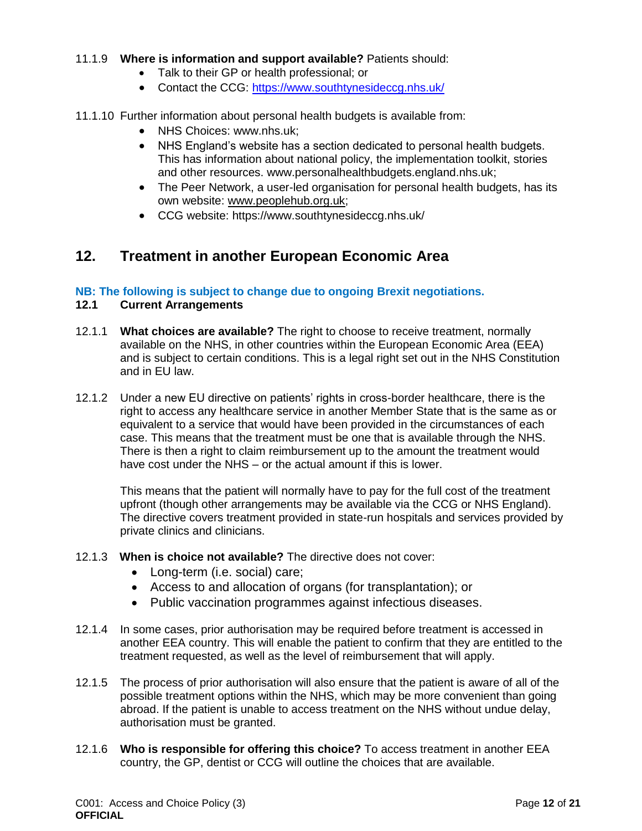#### 11.1.9 **Where is information and support available?** Patients should:

- Talk to their GP or health professional; or
- Contact the CCG:<https://www.southtynesideccg.nhs.uk/>

#### 11.1.10 Further information about personal health budgets is available from:

- NHS Choices: www.nhs.uk:
- NHS England's website has a section dedicated to personal health budgets. This has information about national policy, the implementation toolkit, stories and other resources. www.personalhealthbudgets.england.nhs.uk;
- The Peer Network, a user-led organisation for personal health budgets, has its own website: [www.peoplehub.org.uk;](http://www.peoplehub.org.uk/)
- CCG website: https://www.southtynesideccg.nhs.uk/

# <span id="page-11-0"></span>**12. Treatment in another European Economic Area**

#### **NB: The following is subject to change due to ongoing Brexit negotiations.**

#### **12.1 Current Arrangements**

- 12.1.1 **What choices are available?** The right to choose to receive treatment, normally available on the NHS, in other countries within the European Economic Area (EEA) and is subject to certain conditions. This is a legal right set out in the NHS Constitution and in EU law.
- 12.1.2 Under a new EU directive on patients' rights in cross-border healthcare, there is the right to access any healthcare service in another Member State that is the same as or equivalent to a service that would have been provided in the circumstances of each case. This means that the treatment must be one that is available through the NHS. There is then a right to claim reimbursement up to the amount the treatment would have cost under the NHS – or the actual amount if this is lower.

This means that the patient will normally have to pay for the full cost of the treatment upfront (though other arrangements may be available via the CCG or NHS England). The directive covers treatment provided in state-run hospitals and services provided by private clinics and clinicians.

#### 12.1.3 **When is choice not available?** The directive does not cover:

- Long-term (i.e. social) care;
- Access to and allocation of organs (for transplantation); or
- <span id="page-11-1"></span>Public vaccination programmes against infectious diseases.
- 12.1.4 In some cases, prior authorisation may be required before treatment is accessed in another EEA country. This will enable the patient to confirm that they are entitled to the treatment requested, as well as the level of reimbursement that will apply.
- 12.1.5 The process of prior authorisation will also ensure that the patient is aware of all of the possible treatment options within the NHS, which may be more convenient than going abroad. If the patient is unable to access treatment on the NHS without undue delay, authorisation must be granted.
- 12.1.6 **Who is responsible for offering this choice?** To access treatment in another EEA country, the GP, dentist or CCG will outline the choices that are available.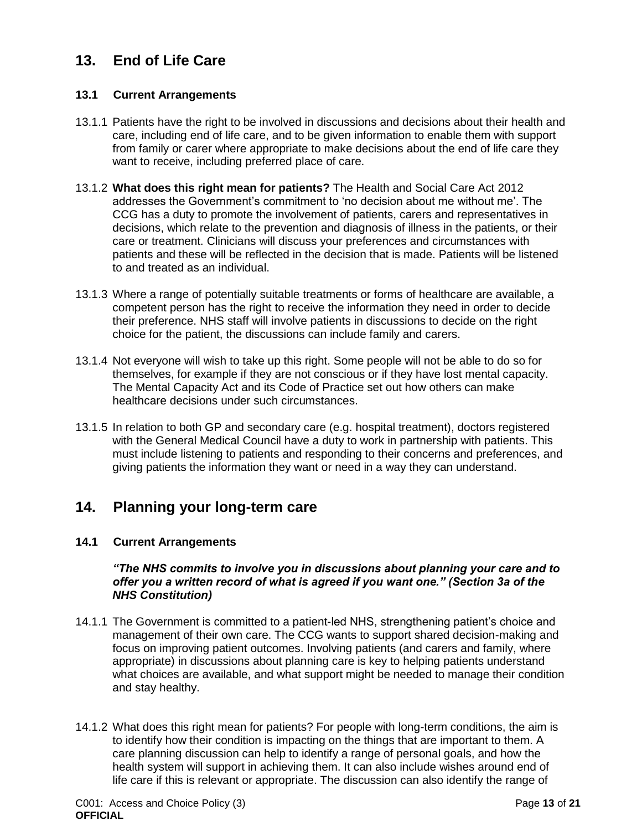# **13. End of Life Care**

#### **13.1 Current Arrangements**

- 13.1.1 Patients have the right to be involved in discussions and decisions about their health and care, including end of life care, and to be given information to enable them with support from family or carer where appropriate to make decisions about the end of life care they want to receive, including preferred place of care.
- 13.1.2 **What does this right mean for patients?** The Health and Social Care Act 2012 addresses the Government's commitment to 'no decision about me without me'. The CCG has a duty to promote the involvement of patients, carers and representatives in decisions, which relate to the prevention and diagnosis of illness in the patients, or their care or treatment. Clinicians will discuss your preferences and circumstances with patients and these will be reflected in the decision that is made. Patients will be listened to and treated as an individual.
- 13.1.3 Where a range of potentially suitable treatments or forms of healthcare are available, a competent person has the right to receive the information they need in order to decide their preference. NHS staff will involve patients in discussions to decide on the right choice for the patient, the discussions can include family and carers.
- 13.1.4 Not everyone will wish to take up this right. Some people will not be able to do so for themselves, for example if they are not conscious or if they have lost mental capacity. The Mental Capacity Act and its Code of Practice set out how others can make healthcare decisions under such circumstances.
- 13.1.5 In relation to both GP and secondary care (e.g. hospital treatment), doctors registered with the General Medical Council have a duty to work in partnership with patients. This must include listening to patients and responding to their concerns and preferences, and giving patients the information they want or need in a way they can understand.

# <span id="page-12-0"></span>**14. Planning your long-term care**

#### **14.1 Current Arrangements**

#### *"The NHS commits to involve you in discussions about planning your care and to offer you a written record of what is agreed if you want one." (Section 3a of the NHS Constitution)*

- 14.1.1 The Government is committed to a patient-led NHS, strengthening patient's choice and management of their own care. The CCG wants to support shared decision-making and focus on improving patient outcomes. Involving patients (and carers and family, where appropriate) in discussions about planning care is key to helping patients understand what choices are available, and what support might be needed to manage their condition and stay healthy.
- 14.1.2 What does this right mean for patients? For people with long-term conditions, the aim is to identify how their condition is impacting on the things that are important to them. A care planning discussion can help to identify a range of personal goals, and how the health system will support in achieving them. It can also include wishes around end of life care if this is relevant or appropriate. The discussion can also identify the range of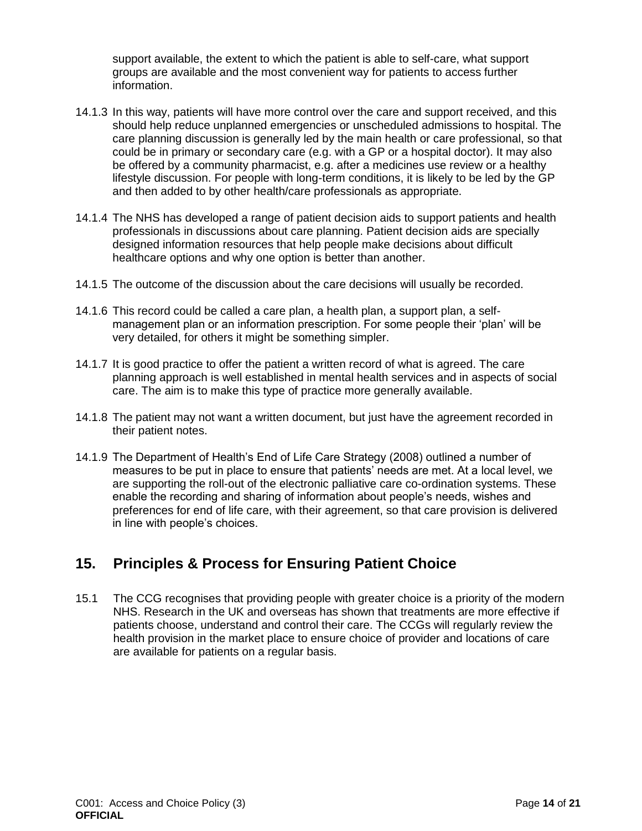support available, the extent to which the patient is able to self-care, what support groups are available and the most convenient way for patients to access further information.

- 14.1.3 In this way, patients will have more control over the care and support received, and this should help reduce unplanned emergencies or unscheduled admissions to hospital. The care planning discussion is generally led by the main health or care professional, so that could be in primary or secondary care (e.g. with a GP or a hospital doctor). It may also be offered by a community pharmacist, e.g. after a medicines use review or a healthy lifestyle discussion. For people with long-term conditions, it is likely to be led by the GP and then added to by other health/care professionals as appropriate.
- 14.1.4 The NHS has developed a range of patient decision aids to support patients and health professionals in discussions about care planning. Patient decision aids are specially designed information resources that help people make decisions about difficult healthcare options and why one option is better than another.
- 14.1.5 The outcome of the discussion about the care decisions will usually be recorded.
- 14.1.6 This record could be called a care plan, a health plan, a support plan, a selfmanagement plan or an information prescription. For some people their 'plan' will be very detailed, for others it might be something simpler.
- 14.1.7 It is good practice to offer the patient a written record of what is agreed. The care planning approach is well established in mental health services and in aspects of social care. The aim is to make this type of practice more generally available.
- 14.1.8 The patient may not want a written document, but just have the agreement recorded in their patient notes.
- 14.1.9 The Department of Health's End of Life Care Strategy (2008) outlined a number of measures to be put in place to ensure that patients' needs are met. At a local level, we are supporting the roll-out of the electronic palliative care co-ordination systems. These enable the recording and sharing of information about people's needs, wishes and preferences for end of life care, with their agreement, so that care provision is delivered in line with people's choices.

# <span id="page-13-0"></span>**15. Principles & Process for Ensuring Patient Choice**

15.1 The CCG recognises that providing people with greater choice is a priority of the modern NHS. Research in the UK and overseas has shown that treatments are more effective if patients choose, understand and control their care. The CCGs will regularly review the health provision in the market place to ensure choice of provider and locations of care are available for patients on a regular basis.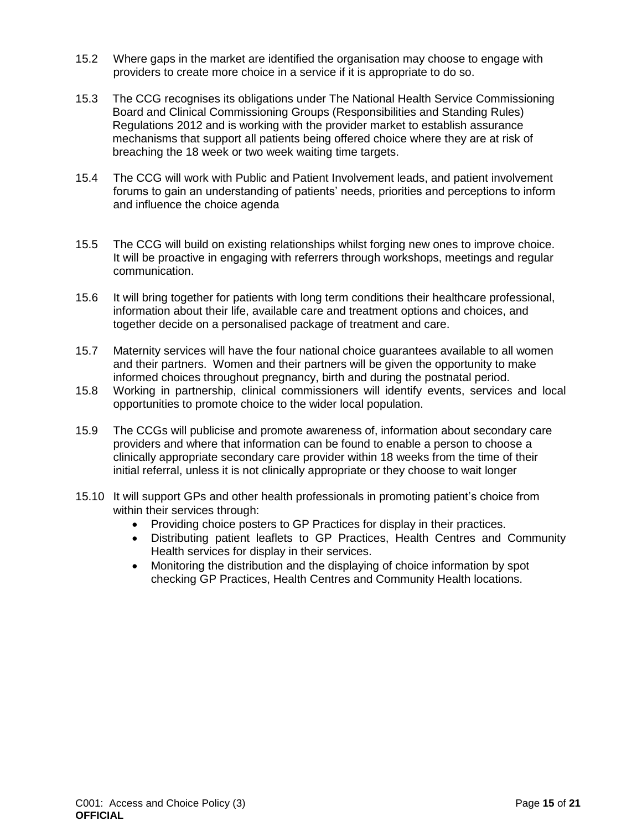- 15.2 Where gaps in the market are identified the organisation may choose to engage with providers to create more choice in a service if it is appropriate to do so.
- 15.3 The CCG recognises its obligations under The National Health Service Commissioning Board and Clinical Commissioning Groups (Responsibilities and Standing Rules) Regulations 2012 and is working with the provider market to establish assurance mechanisms that support all patients being offered choice where they are at risk of breaching the 18 week or two week waiting time targets.
- 15.4 The CCG will work with Public and Patient Involvement leads, and patient involvement forums to gain an understanding of patients' needs, priorities and perceptions to inform and influence the choice agenda
- 15.5 The CCG will build on existing relationships whilst forging new ones to improve choice. It will be proactive in engaging with referrers through workshops, meetings and regular communication.
- 15.6 It will bring together for patients with long term conditions their healthcare professional, information about their life, available care and treatment options and choices, and together decide on a personalised package of treatment and care.
- 15.7 Maternity services will have the four national choice guarantees available to all women and their partners. Women and their partners will be given the opportunity to make informed choices throughout pregnancy, birth and during the postnatal period.
- 15.8 Working in partnership, clinical commissioners will identify events, services and local opportunities to promote choice to the wider local population.
- 15.9 The CCGs will publicise and promote awareness of, information about secondary care providers and where that information can be found to enable a person to choose a clinically appropriate secondary care provider within 18 weeks from the time of their initial referral, unless it is not clinically appropriate or they choose to wait longer
- <span id="page-14-0"></span>15.10 It will support GPs and other health professionals in promoting patient's choice from within their services through:
	- Providing choice posters to GP Practices for display in their practices.
	- Distributing patient leaflets to GP Practices, Health Centres and Community Health services for display in their services.
	- Monitoring the distribution and the displaying of choice information by spot checking GP Practices, Health Centres and Community Health locations.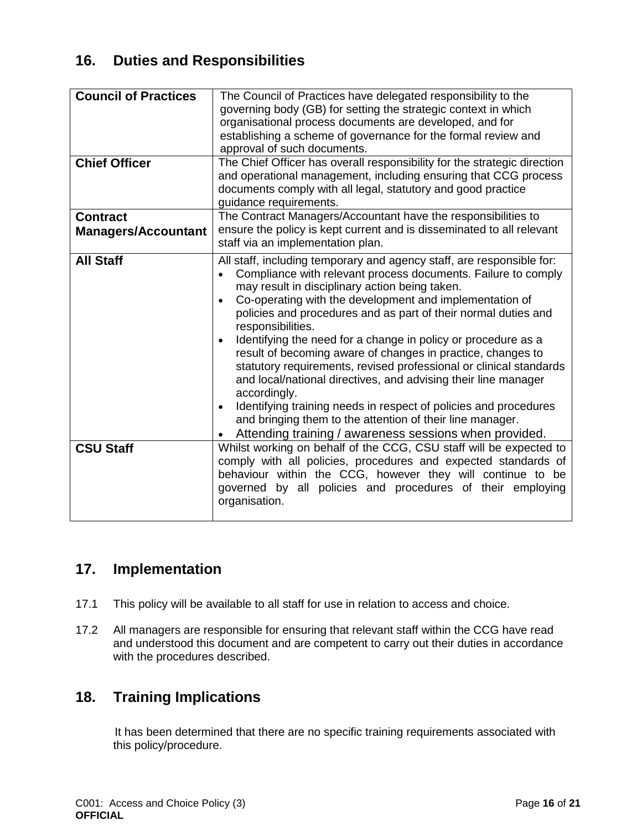# **16. Duties and Responsibilities**

| <b>Council of Practices</b><br><b>Chief Officer</b> | The Council of Practices have delegated responsibility to the<br>governing body (GB) for setting the strategic context in which<br>organisational process documents are developed, and for<br>establishing a scheme of governance for the formal review and<br>approval of such documents.<br>The Chief Officer has overall responsibility for the strategic direction<br>and operational management, including ensuring that CCG process<br>documents comply with all legal, statutory and good practice<br>guidance requirements.                                                                                                                                                                                                                                                                                                                     |
|-----------------------------------------------------|---------------------------------------------------------------------------------------------------------------------------------------------------------------------------------------------------------------------------------------------------------------------------------------------------------------------------------------------------------------------------------------------------------------------------------------------------------------------------------------------------------------------------------------------------------------------------------------------------------------------------------------------------------------------------------------------------------------------------------------------------------------------------------------------------------------------------------------------------------|
| <b>Contract</b>                                     | The Contract Managers/Accountant have the responsibilities to                                                                                                                                                                                                                                                                                                                                                                                                                                                                                                                                                                                                                                                                                                                                                                                           |
| <b>Managers/Accountant</b>                          | ensure the policy is kept current and is disseminated to all relevant<br>staff via an implementation plan.                                                                                                                                                                                                                                                                                                                                                                                                                                                                                                                                                                                                                                                                                                                                              |
| <b>All Staff</b>                                    | All staff, including temporary and agency staff, are responsible for:<br>Compliance with relevant process documents. Failure to comply<br>$\bullet$<br>may result in disciplinary action being taken.<br>Co-operating with the development and implementation of<br>policies and procedures and as part of their normal duties and<br>responsibilities.<br>Identifying the need for a change in policy or procedure as a<br>result of becoming aware of changes in practice, changes to<br>statutory requirements, revised professional or clinical standards<br>and local/national directives, and advising their line manager<br>accordingly.<br>Identifying training needs in respect of policies and procedures<br>$\bullet$<br>and bringing them to the attention of their line manager.<br>Attending training / awareness sessions when provided. |
| <b>CSU Staff</b>                                    | Whilst working on behalf of the CCG, CSU staff will be expected to<br>comply with all policies, procedures and expected standards of<br>behaviour within the CCG, however they will continue to be<br>governed by all policies and procedures of their employing<br>organisation.                                                                                                                                                                                                                                                                                                                                                                                                                                                                                                                                                                       |

# <span id="page-15-0"></span>**17. Implementation**

- 17.1 This policy will be available to all staff for use in relation to access and choice.
- 17.2 All managers are responsible for ensuring that relevant staff within the CCG have read and understood this document and are competent to carry out their duties in accordance with the procedures described.

# <span id="page-15-1"></span>**18. Training Implications**

It has been determined that there are no specific training requirements associated with this policy/procedure.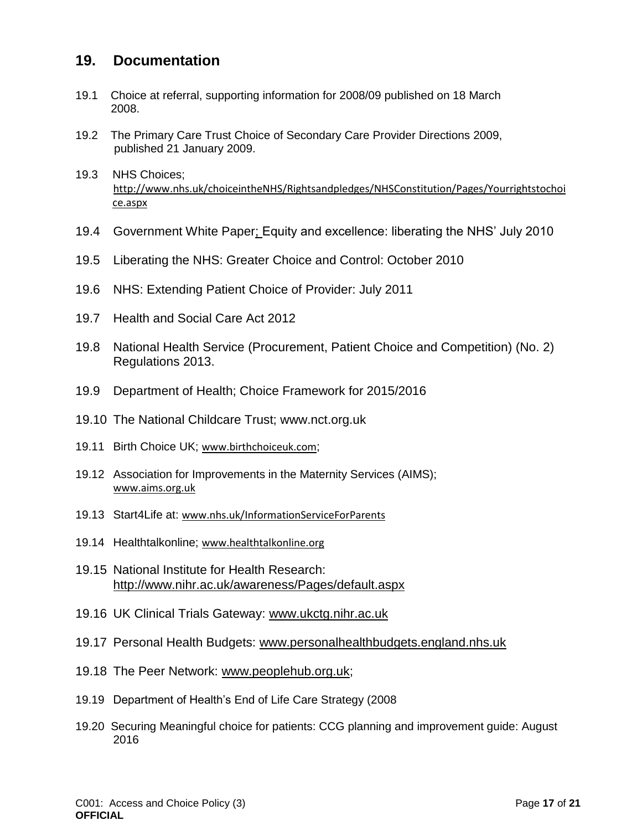### <span id="page-16-0"></span>**19. Documentation**

- 19.1 Choice at referral, supporting information for 2008/09 published on 18 March 2008.
- 19.2 The Primary Care Trust Choice of Secondary Care Provider Directions 2009, published 21 January 2009.
- 19.3 NHS Choices; [http://www.nhs.uk/choiceintheNHS/Rightsandpledges/NHSConstitution/Pages/Yourrightstochoi](http://www.nhs.uk/choiceintheNHS/Rightsandpledges/NHSConstitution/Pages/Yourrightstochoice.aspx) [ce.aspx](http://www.nhs.uk/choiceintheNHS/Rightsandpledges/NHSConstitution/Pages/Yourrightstochoice.aspx)
- 19.4 Government White Paper; Equity and excellence: liberating the NHS' July 2010
- 19.5 Liberating the NHS: Greater Choice and Control: October 2010
- 19.6 NHS: Extending Patient Choice of Provider: July 2011
- 19.7 Health and Social Care Act 2012
- 19.8 National Health Service (Procurement, Patient Choice and Competition) (No. 2) Regulations 2013.
- 19.9 Department of Health; Choice Framework for 2015/2016
- 19.10 The National Childcare Trust; www.nct.org.uk
- 19.11 Birth Choice UK; [www.birthchoiceuk.com](http://www.birthchoiceuk.com/);
- 19.12 Association for Improvements in the Maternity Services (AIMS); [www.aims.org.uk](http://www.aims.org.uk/)
- 19.13 Start4Life at: [www.nhs.uk/InformationServiceForParents](http://www.nhs.uk/InformationServiceForParents)
- 19.14 Healthtalkonline; [www.healthtalkonline.org](http://www.healthtalkonline.org/)
- 19.15 National Institute for Health Research: <http://www.nihr.ac.uk/awareness/Pages/default.aspx>
- 19.16 UK Clinical Trials Gateway: [www.ukctg.nihr.ac.uk](http://www.ukctg.nihr.ac.uk/)
- 19.17 Personal Health Budgets: [www.personalhealthbudgets.england.nhs.uk](http://www.personalhealthbudgets.england.nhs.uk/)
- 19.18 The Peer Network: [www.peoplehub.org.uk;](http://www.peoplehub.org.uk/)
- 19.19 Department of Health's End of Life Care Strategy (2008
- 19.20 Securing Meaningful choice for patients: CCG planning and improvement guide: August 2016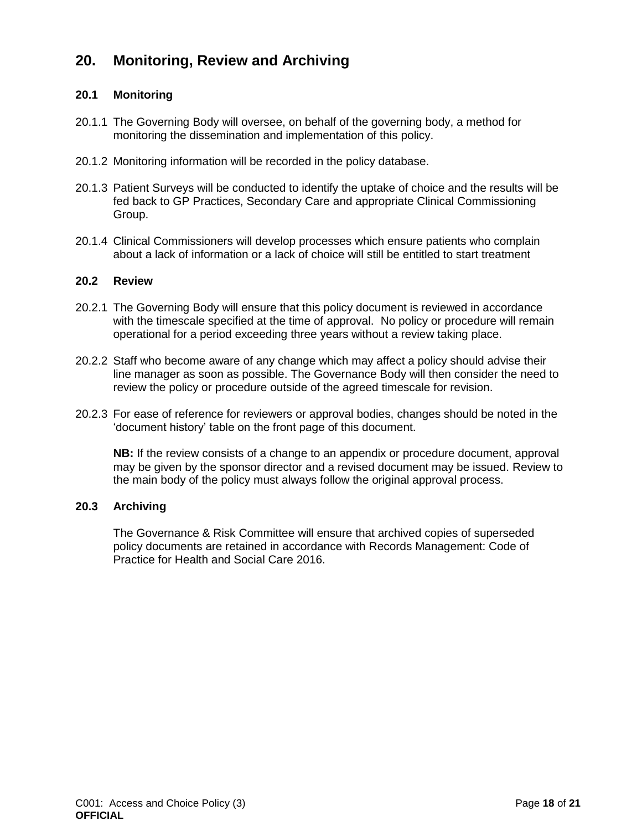# <span id="page-17-0"></span>**20. Monitoring, Review and Archiving**

#### **20.1 Monitoring**

- 20.1.1 The Governing Body will oversee, on behalf of the governing body, a method for monitoring the dissemination and implementation of this policy.
- 20.1.2 Monitoring information will be recorded in the policy database.
- 20.1.3 Patient Surveys will be conducted to identify the uptake of choice and the results will be fed back to GP Practices, Secondary Care and appropriate Clinical Commissioning Group.
- 20.1.4 Clinical Commissioners will develop processes which ensure patients who complain about a lack of information or a lack of choice will still be entitled to start treatment

#### **20.2 Review**

- 20.2.1 The Governing Body will ensure that this policy document is reviewed in accordance with the timescale specified at the time of approval. No policy or procedure will remain operational for a period exceeding three years without a review taking place.
- 20.2.2 Staff who become aware of any change which may affect a policy should advise their line manager as soon as possible. The Governance Body will then consider the need to review the policy or procedure outside of the agreed timescale for revision.
- 20.2.3 For ease of reference for reviewers or approval bodies, changes should be noted in the 'document history' table on the front page of this document.

**NB:** If the review consists of a change to an appendix or procedure document, approval may be given by the sponsor director and a revised document may be issued. Review to the main body of the policy must always follow the original approval process.

#### **20.3 Archiving**

<span id="page-17-1"></span>The Governance & Risk Committee will ensure that archived copies of superseded policy documents are retained in accordance with Records Management: Code of Practice for Health and Social Care 2016.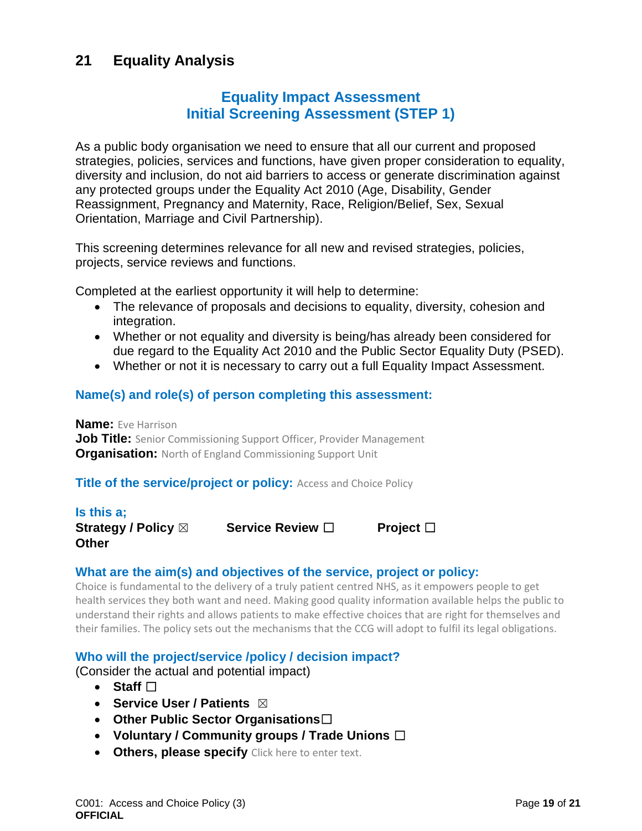# **21 Equality Analysis**

## **Equality Impact Assessment Initial Screening Assessment (STEP 1)**

As a public body organisation we need to ensure that all our current and proposed strategies, policies, services and functions, have given proper consideration to equality, diversity and inclusion, do not aid barriers to access or generate discrimination against any protected groups under the Equality Act 2010 (Age, Disability, Gender Reassignment, Pregnancy and Maternity, Race, Religion/Belief, Sex, Sexual Orientation, Marriage and Civil Partnership).

This screening determines relevance for all new and revised strategies, policies, projects, service reviews and functions.

Completed at the earliest opportunity it will help to determine:

- The relevance of proposals and decisions to equality, diversity, cohesion and integration.
- Whether or not equality and diversity is being/has already been considered for due regard to the Equality Act 2010 and the Public Sector Equality Duty (PSED).
- Whether or not it is necessary to carry out a full Equality Impact Assessment.

#### **Name(s) and role(s) of person completing this assessment:**

**Name:** Eve Harrison **Job Title:** Senior Commissioning Support Officer, Provider Management **Organisation:** North of England Commissioning Support Unit

#### **Title of the service/project or policy:** Access and Choice Policy

**Is this a; Other** 

**Strategy / Policy** ☒ **Service Review** ☐ **Project** ☐

#### **What are the aim(s) and objectives of the service, project or policy:**

Choice is fundamental to the delivery of a truly patient centred NHS, as it empowers people to get health services they both want and need. Making good quality information available helps the public to understand their rights and allows patients to make effective choices that are right for themselves and their families. The policy sets out the mechanisms that the CCG will adopt to fulfil its legal obligations.

#### **Who will the project/service /policy / decision impact?**

(Consider the actual and potential impact)

- **Staff** ☐
- **s** Service User / Patients  $\boxtimes$
- **Other Public Sector Organisations**☐
- **Voluntary / Community groups / Trade Unions** ☐
- **Others, please specify** Click here to enter text.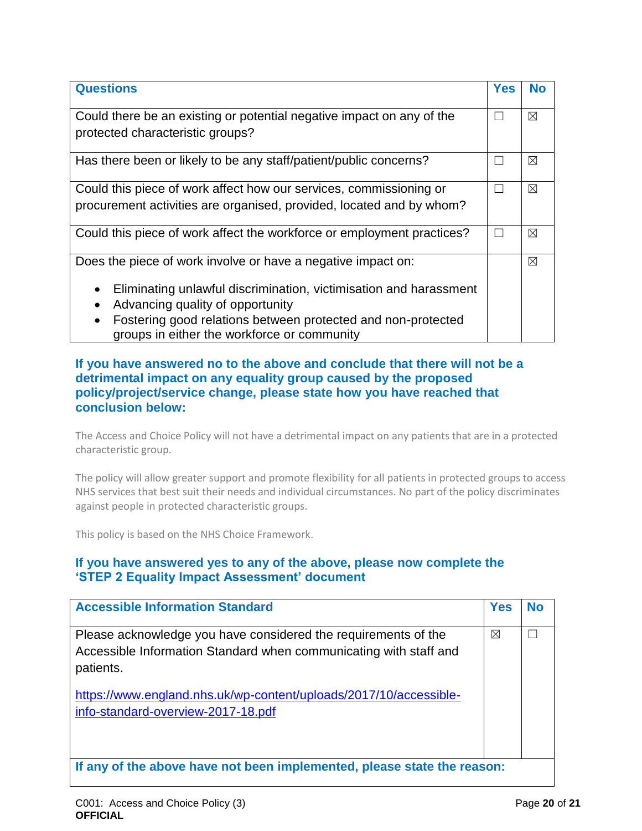| <b>Questions</b>                                                                                                                                                                                                                                                                                       | <b>Yes</b> | <b>No</b>   |
|--------------------------------------------------------------------------------------------------------------------------------------------------------------------------------------------------------------------------------------------------------------------------------------------------------|------------|-------------|
| Could there be an existing or potential negative impact on any of the<br>protected characteristic groups?                                                                                                                                                                                              |            | ⊠           |
| Has there been or likely to be any staff/patient/public concerns?                                                                                                                                                                                                                                      |            | ⊠           |
| Could this piece of work affect how our services, commissioning or<br>procurement activities are organised, provided, located and by whom?                                                                                                                                                             |            | ⊠           |
| Could this piece of work affect the workforce or employment practices?                                                                                                                                                                                                                                 | L          | ⊠           |
| Does the piece of work involve or have a negative impact on:<br>Eliminating unlawful discrimination, victimisation and harassment<br>٠<br>Advancing quality of opportunity<br>$\bullet$<br>Fostering good relations between protected and non-protected<br>groups in either the workforce or community |            | $\boxtimes$ |

#### **If you have answered no to the above and conclude that there will not be a detrimental impact on any equality group caused by the proposed policy/project/service change, please state how you have reached that conclusion below:**

The Access and Choice Policy will not have a detrimental impact on any patients that are in a protected characteristic group.

The policy will allow greater support and promote flexibility for all patients in protected groups to access NHS services that best suit their needs and individual circumstances. No part of the policy discriminates against people in protected characteristic groups.

This policy is based on the NHS Choice Framework.

#### **If you have answered yes to any of the above, please now complete the 'STEP 2 Equality Impact Assessment' document**

| <b>Accessible Information Standard</b>                                                                                                           | <b>Yes</b> | No |
|--------------------------------------------------------------------------------------------------------------------------------------------------|------------|----|
| Please acknowledge you have considered the requirements of the<br>Accessible Information Standard when communicating with staff and<br>patients. | ⊠          |    |
| https://www.england.nhs.uk/wp-content/uploads/2017/10/accessible-<br>info-standard-overview-2017-18.pdf                                          |            |    |
| If any of the above have not been implemented, please state the reason:                                                                          |            |    |